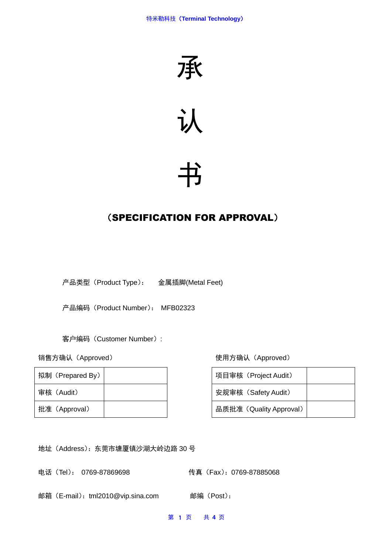



# 书

## (SPECIFICATION FOR APPROVAL)

产品类型(Product Type): 金属插脚(Metal Feet)

产品编码(Product Number): MFB02323

客户编码(Customer Number):

| 拟制 (Prepared By) |  | 项目审核(Project Audit)     |
|------------------|--|-------------------------|
| 审核(Audit)        |  | 安规审核 (Safety Audit)     |
| 批准 (Approval)    |  | 品质批准 (Quality Approval) |

销售方确认(Approved) 使用方确认(Approved)

| 项目审核 (Project Audit)    |  |
|-------------------------|--|
| 安规审核 (Safety Audit)     |  |
| 品质批准 (Quality Approval) |  |

地址(Address):东莞市塘厦镇沙湖大岭边路 30 号

电话(Tel): 0769-87869698 传真(Fax): 0769-87885068

邮箱(E-mail):tml2010@vip.sina.com 邮编(Post):

第 1 页 共 **4** 页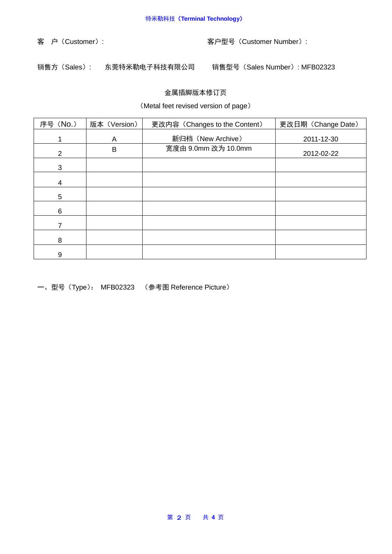客 户(Customer): 客户型号(Customer Number):

销售方(Sales): 东莞特米勒电子科技有限公司 销售型号(Sales Number): MFB02323

### 金属插脚版本修订页

(Metal feet revised version of page)

| 序号 (No.)       | 版本 (Version) | 更改内容 (Changes to the Content) | 更改日期 (Change Date) |  |
|----------------|--------------|-------------------------------|--------------------|--|
|                | A            | 新归档 (New Archive)             | 2011-12-30         |  |
| $\overline{2}$ | B            | 宽度由 9.0mm 改为 10.0mm           | 2012-02-22         |  |
| 3              |              |                               |                    |  |
| 4              |              |                               |                    |  |
| 5              |              |                               |                    |  |
| 6              |              |                               |                    |  |
|                |              |                               |                    |  |
| 8              |              |                               |                    |  |
| 9              |              |                               |                    |  |

一、型号(Type): MFB02323 (参考图 Reference Picture)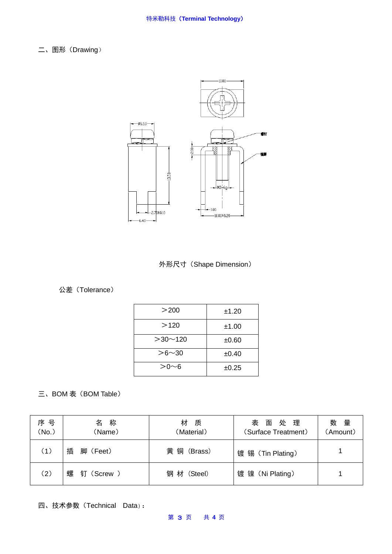二、图形 (Drawing)





### 公差(Tolerance)

| $>$ 200       | ±1.20 |
|---------------|-------|
| >120          | ±1.00 |
| $>30$ ~ 120   | ±0.60 |
| $> 6 \sim 30$ | ±0.40 |
| $> 0 \sim 6$  | ±0.25 |

三、BOM 表 (BOM Table)

| 序 号<br>(No.) | 称<br>名<br>(Name)  | 材<br>质<br>(Material) | 表面处理<br>(Surface Treatment) | 数量<br>(Amount) |
|--------------|-------------------|----------------------|-----------------------------|----------------|
| (1)          | 插<br>脚 (Feet)     | 黄 铜 (Brass)          | 镀 锡 (Tin Plating)           |                |
| (2)          | 螺<br>钉<br>(Screw) | 钢 材 (Steel)          | 镀 镍 (Ni Plating)            |                |

四、技术参数(Technical Data):